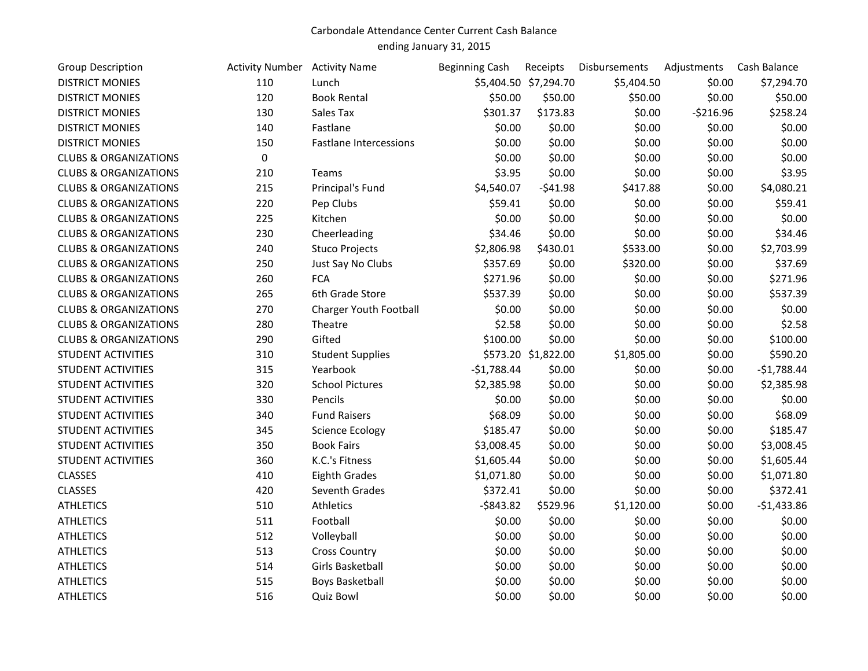## Carbondale Attendance Center Current Cash Balance

ending January 31, 2015

| <b>Group Description</b>         | <b>Activity Number</b> Activity Name |                               | <b>Beginning Cash</b> | Receipts              | Disbursements | Adjustments | Cash Balance |
|----------------------------------|--------------------------------------|-------------------------------|-----------------------|-----------------------|---------------|-------------|--------------|
| <b>DISTRICT MONIES</b>           | 110                                  | Lunch                         |                       | \$5,404.50 \$7,294.70 | \$5,404.50    | \$0.00      | \$7,294.70   |
| <b>DISTRICT MONIES</b>           | 120                                  | <b>Book Rental</b>            | \$50.00               | \$50.00               | \$50.00       | \$0.00      | \$50.00      |
| <b>DISTRICT MONIES</b>           | 130                                  | Sales Tax                     | \$301.37              | \$173.83              | \$0.00        | $-5216.96$  | \$258.24     |
| <b>DISTRICT MONIES</b>           | 140                                  | Fastlane                      | \$0.00                | \$0.00                | \$0.00        | \$0.00      | \$0.00       |
| <b>DISTRICT MONIES</b>           | 150                                  | <b>Fastlane Intercessions</b> | \$0.00                | \$0.00                | \$0.00        | \$0.00      | \$0.00       |
| <b>CLUBS &amp; ORGANIZATIONS</b> | 0                                    |                               | \$0.00                | \$0.00                | \$0.00        | \$0.00      | \$0.00       |
| <b>CLUBS &amp; ORGANIZATIONS</b> | 210                                  | Teams                         | \$3.95                | \$0.00                | \$0.00        | \$0.00      | \$3.95       |
| <b>CLUBS &amp; ORGANIZATIONS</b> | 215                                  | Principal's Fund              | \$4,540.07            | $-541.98$             | \$417.88      | \$0.00      | \$4,080.21   |
| <b>CLUBS &amp; ORGANIZATIONS</b> | 220                                  | Pep Clubs                     | \$59.41               | \$0.00                | \$0.00        | \$0.00      | \$59.41      |
| <b>CLUBS &amp; ORGANIZATIONS</b> | 225                                  | Kitchen                       | \$0.00                | \$0.00                | \$0.00        | \$0.00      | \$0.00       |
| <b>CLUBS &amp; ORGANIZATIONS</b> | 230                                  | Cheerleading                  | \$34.46               | \$0.00                | \$0.00        | \$0.00      | \$34.46      |
| <b>CLUBS &amp; ORGANIZATIONS</b> | 240                                  | <b>Stuco Projects</b>         | \$2,806.98            | \$430.01              | \$533.00      | \$0.00      | \$2,703.99   |
| <b>CLUBS &amp; ORGANIZATIONS</b> | 250                                  | Just Say No Clubs             | \$357.69              | \$0.00                | \$320.00      | \$0.00      | \$37.69      |
| <b>CLUBS &amp; ORGANIZATIONS</b> | 260                                  | <b>FCA</b>                    | \$271.96              | \$0.00                | \$0.00        | \$0.00      | \$271.96     |
| <b>CLUBS &amp; ORGANIZATIONS</b> | 265                                  | 6th Grade Store               | \$537.39              | \$0.00                | \$0.00        | \$0.00      | \$537.39     |
| <b>CLUBS &amp; ORGANIZATIONS</b> | 270                                  | Charger Youth Football        | \$0.00                | \$0.00                | \$0.00        | \$0.00      | \$0.00       |
| <b>CLUBS &amp; ORGANIZATIONS</b> | 280                                  | Theatre                       | \$2.58                | \$0.00                | \$0.00        | \$0.00      | \$2.58       |
| <b>CLUBS &amp; ORGANIZATIONS</b> | 290                                  | Gifted                        | \$100.00              | \$0.00                | \$0.00        | \$0.00      | \$100.00     |
| <b>STUDENT ACTIVITIES</b>        | 310                                  | <b>Student Supplies</b>       |                       | \$573.20 \$1,822.00   | \$1,805.00    | \$0.00      | \$590.20     |
| <b>STUDENT ACTIVITIES</b>        | 315                                  | Yearbook                      | $-$1,788.44$          | \$0.00                | \$0.00        | \$0.00      | $-$1,788.44$ |
| <b>STUDENT ACTIVITIES</b>        | 320                                  | <b>School Pictures</b>        | \$2,385.98            | \$0.00                | \$0.00        | \$0.00      | \$2,385.98   |
| STUDENT ACTIVITIES               | 330                                  | Pencils                       | \$0.00                | \$0.00                | \$0.00        | \$0.00      | \$0.00       |
| <b>STUDENT ACTIVITIES</b>        | 340                                  | <b>Fund Raisers</b>           | \$68.09               | \$0.00                | \$0.00        | \$0.00      | \$68.09      |
| <b>STUDENT ACTIVITIES</b>        | 345                                  | <b>Science Ecology</b>        | \$185.47              | \$0.00                | \$0.00        | \$0.00      | \$185.47     |
| <b>STUDENT ACTIVITIES</b>        | 350                                  | <b>Book Fairs</b>             | \$3,008.45            | \$0.00                | \$0.00        | \$0.00      | \$3,008.45   |
| <b>STUDENT ACTIVITIES</b>        | 360                                  | K.C.'s Fitness                | \$1,605.44            | \$0.00                | \$0.00        | \$0.00      | \$1,605.44   |
| <b>CLASSES</b>                   | 410                                  | <b>Eighth Grades</b>          | \$1,071.80            | \$0.00                | \$0.00        | \$0.00      | \$1,071.80   |
| <b>CLASSES</b>                   | 420                                  | Seventh Grades                | \$372.41              | \$0.00                | \$0.00        | \$0.00      | \$372.41     |
| <b>ATHLETICS</b>                 | 510                                  | Athletics                     | $-$ \$843.82          | \$529.96              | \$1,120.00    | \$0.00      | $-$1,433.86$ |
| <b>ATHLETICS</b>                 | 511                                  | Football                      | \$0.00                | \$0.00                | \$0.00        | \$0.00      | \$0.00       |
| <b>ATHLETICS</b>                 | 512                                  | Volleyball                    | \$0.00                | \$0.00                | \$0.00        | \$0.00      | \$0.00       |
| <b>ATHLETICS</b>                 | 513                                  | <b>Cross Country</b>          | \$0.00                | \$0.00                | \$0.00        | \$0.00      | \$0.00       |
| <b>ATHLETICS</b>                 | 514                                  | Girls Basketball              | \$0.00                | \$0.00                | \$0.00        | \$0.00      | \$0.00       |
| <b>ATHLETICS</b>                 | 515                                  | <b>Boys Basketball</b>        | \$0.00                | \$0.00                | \$0.00        | \$0.00      | \$0.00       |
| <b>ATHLETICS</b>                 | 516                                  | <b>Quiz Bowl</b>              | \$0.00                | \$0.00                | \$0.00        | \$0.00      | \$0.00       |
|                                  |                                      |                               |                       |                       |               |             |              |